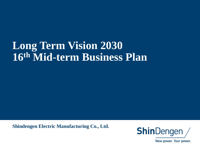## **Long Term Vision 2030 16th Mid-term Business Plan**

**Shindengen Electric Manufacturing Co., Ltd.**

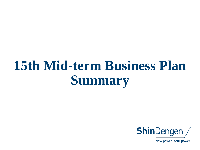# **15th Mid-term Business Plan Summary**

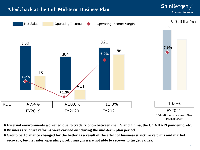

original target

**ShinDengen** 

- **◆External environments worsened due to trade friction between the US and China, the COVID-19 pandemic, etc.**
- **◆Business structure reforms were carried out during the mid-term plan period.**
- **◆Group performance changed for the better as a result of the effect of business structure reforms and market recovery, but net sales, operating profit margin were not able to recover to target values.**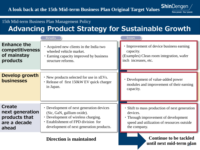

#### 15th Mid-term Business Plan Management Policy

## **Advancing Product Strategy for Sustainable Growth**

|                                            | <b>Results</b>                                                                                     | <b>Issues</b>                                                                               |
|--------------------------------------------|----------------------------------------------------------------------------------------------------|---------------------------------------------------------------------------------------------|
| <b>Enhance the</b>                         | • Acquired new clients in the India two                                                            | • Improvement of device business earning                                                    |
| competitiveness                            | wheeled vehicle market.                                                                            | capacity.                                                                                   |
| of mainstay                                | • Earning capacity improved by business                                                            | (Examples) Clean room integration, wafer                                                    |
| products                                   | structure reforms.                                                                                 | inch increases, etc.                                                                        |
| <b>Develop growth</b><br><b>businesses</b> | • New products selected for use in xEVs.<br>· Release of first 150kW EV quick charger<br>in Japan. | • Development of value-added power<br>modules and improvement of their earning<br>capacity. |
| <b>Create</b>                              | • Development of next generation devices                                                           | • Shift to mass production of next generation                                               |
| next generation                            | (Sic, GaN, gallium oxide).                                                                         | devices.                                                                                    |
| products that                              | • Development of wireless charging.                                                                | • Through improvement of development                                                        |
| are a decade                               | <b>Establishment of FPD division for</b>                                                           | speed and utilization of resources outside                                                  |
| ahead                                      | development of next generation products.                                                           | the company.                                                                                |

**Direction is maintained and in the Continue to be tackled until next mid-term plan** 4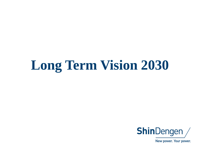# **Long Term Vision 2030**

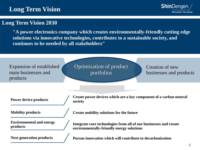## **Long Term Vision**



#### **Long Term Vision 2030**

**"A power electronics company which creates environmentally-friendly cutting edge solutions via innovative technologies, contributes to a sustainable society, and continues to be needed by all stakeholders"**

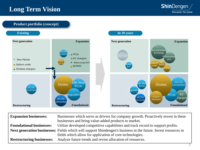## **Long Term Vision**





| <b>Expansion businesses:</b>    | Businesses which serve as drivers for company growth. Proactively invest in these<br>businesses and bring value-added products to market. |
|---------------------------------|-------------------------------------------------------------------------------------------------------------------------------------------|
| <b>Foundational businesses:</b> | Utilize developed competitive capabilities and track record to support profits.                                                           |
|                                 | Next generation businesses: Fields which will support Shindengen's business in the future. Invest resources in                            |
|                                 | fields which allow for application of core technologies.                                                                                  |
|                                 | <b>Restructuring businesses:</b> Analyze future trends and revise allocation of resources.                                                |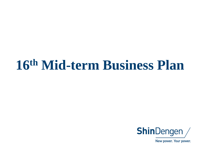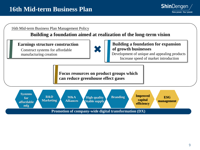



**Building a foundation aimed at realization of the long-term vision**

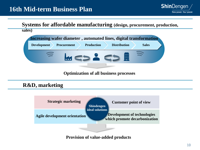**Systems for affordable manufacturing (design, procurement, production, sales)**



**Optimization of all business processes**

### **R&D, marketing**



#### **Provision of value-added products**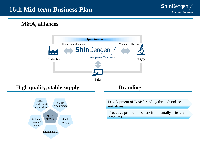

#### **M&A, alliances**





Development of BtoB branding through online initiatives

Proactive promotion of environmentally-friendly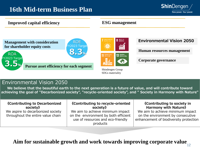

#### **Improved capital efficiency ESG management**

**Management with consideration for shareholder equity costs**

ROA Y2023 Target **3.5%**



**Pursue asset efficiency for each segment**



Shindengen Group SDGs materiality

#### **Environmental Vision 2050**

**Human resources management**

**Corporate governance**

#### Environmental Vision 2050

**We believe that the beautiful earth to the next generation is a future of value, and will contribute toward achieving the goal of "Decarbonized society", "recycle-oriented society", and " Society in Harmony with Nature"**

| Harmony with Nature»<br>society)<br>society)<br>We aim to achieve minimum impact<br>We aim to achieve minimum impact<br>We aspire to decarbonized society<br>throughout the entire value chain<br>on the environment by consecutive<br>on the environment by both efficient<br>use of resources and eco-friendly<br>products | <b>Kontributing to Decarbonized</b> | <b>Kontributing to recycle-oriented</b> | <b>Kontributing to society in</b><br>enhancement of biodiversity protection |
|------------------------------------------------------------------------------------------------------------------------------------------------------------------------------------------------------------------------------------------------------------------------------------------------------------------------------|-------------------------------------|-----------------------------------------|-----------------------------------------------------------------------------|

### **Aim for sustainable growth and work towards improving corporate value**